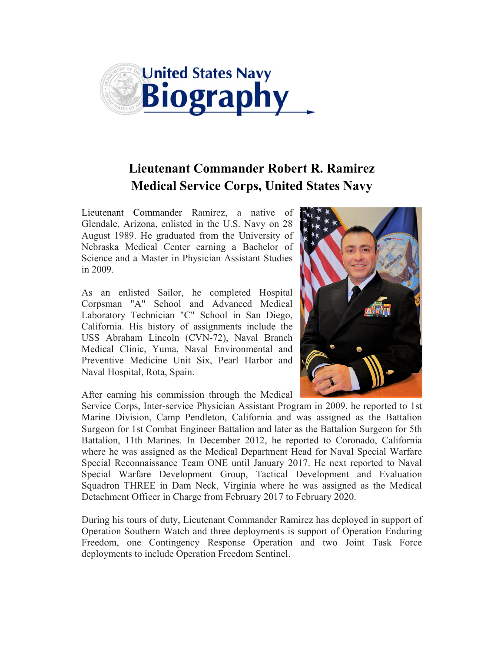

## **Lieutenant Commander Robert R. Ramirez Medical Service Corps, United States Navy**

Lieutenant Commander Ramirez, a native of Glendale, Arizona, enlisted in the U.S. Navy on 28 August 1989. He graduated from the University of Nebraska Medical Center earning a Bachelor of Science and a Master in Physician Assistant Studies in 2009.

As an enlisted Sailor, he completed Hospital Corpsman "A" School and Advanced Medical Laboratory Technician "C" School in San Diego, California. His history of assignments include the USS Abraham Lincoln (CVN-72), Naval Branch Medical Clinic, Yuma, Naval Environmental and Preventive Medicine Unit Six, Pearl Harbor and Naval Hospital, Rota, Spain.



After earning his commission through the Medical

Service Corps, Inter-service Physician Assistant Program in 2009, he reported to 1st Marine Division, Camp Pendleton, California and was assigned as the Battalion Surgeon for 1st Combat Engineer Battalion and later as the Battalion Surgeon for 5th Battalion, 11th Marines. In December 2012, he reported to Coronado, California where he was assigned as the Medical Department Head for Naval Special Warfare Special Reconnaissance Team ONE until January 2017. He next reported to Naval Special Warfare Development Group, Tactical Development and Evaluation Squadron THREE in Dam Neck, Virginia where he was assigned as the Medical Detachment Officer in Charge from February 2017 to February 2020.

During his tours of duty, Lieutenant Commander Ramirez has deployed in support of Operation Southern Watch and three deployments is support of Operation Enduring Freedom, one Contingency Response Operation and two Joint Task Force deployments to include Operation Freedom Sentinel.